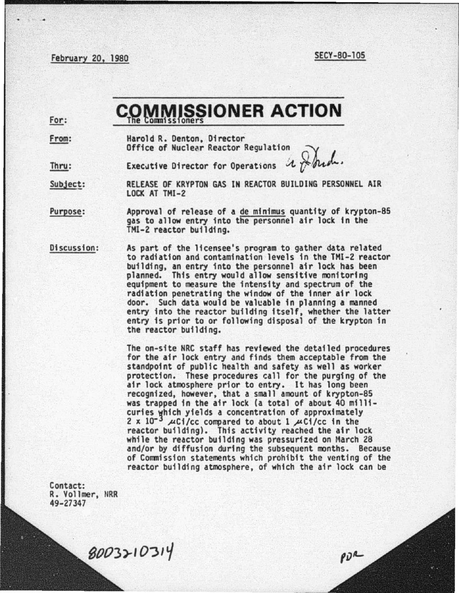February 20, 1980 SECY-80-105

PDR

## **MMISSIONER ACTION** The Commissioners

For: From:

Harold R. Denton, Director Office of Nuclear Reactor Regulation

Executive Director for Operations  $\mathcal{X} \not\sim \mathcal{Y}$ Thru:

RELEASE OF KRYPTON GAS IN REACTOR BUILDING PERSONNEL AIR Subject: LOCK AT THI-2

Purpose: Approval of release of a de minimus quantity of krypton-85 gas to allow entry into the personnel air lock in the THl-2 reactor building.

Discussion: As part of the licensee's program to gather data related to radiation and contamination levels in the THI-2 reactor building, an entry into the personnel air lock has been<br>planned. This entry would allow sensitive monitoring equipment to measure the intensity and spectrum of the radiation penetrating the window of the inner air lock door. Such data would be valcable in planning a manned entry into the reactor building itself, whether the latter entry is prior to or following disposal of the krypton in the reactor building.

> The on-site NRC staff has reviewed the detailed procedures for the air lock entry and finds them acceptable from the standpoint of public health and safety as well as worker protection. These procedures call for the purging of the air lock atmosphere prior to entry. It has long been recognized, however, that a small amount of krypton-85 was trapped in the air lock (a total of about 40 milli-<br>curies which yields a concentration of approximately 2 x 10<sup>-3</sup>  $\mu$ Ci/cc compared to about 1  $\mu$ Ci/cc in the reactor building). This activity reached the air lock while the reactor building was pressurized on March 28 and/or by diffusion during the subsequent months. Because of Commission statements which prohibit the venting of the reactor building atmosphere, of which the air lock can be

Contact: R. Vollmer, NRR 49-27347

8003210314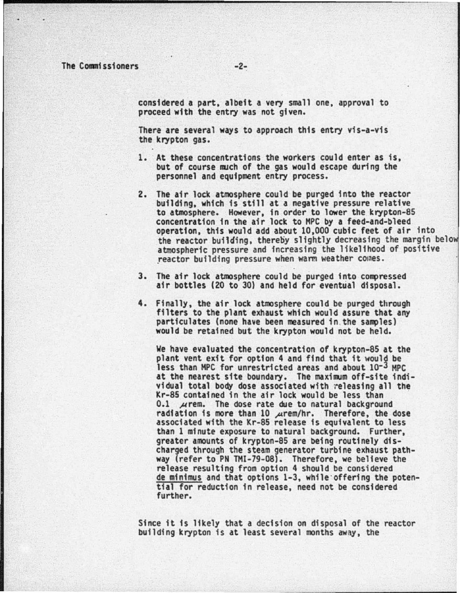The Commissioners -2-

considered a part, albeit a very small one, approval to proceed with the entry was not given.

There are several ways to approach this entry vis-a-vis the krypton gas.

- 1. At these concentrations the workers could enter as is. but of course much of the gas would escape during the personnel and equipment entry process.
- 2. The air lock atmosphere could be purged into the reactor building. which is still at a negative pressure relative to atmosphere. However, in order to lower the krypton-85 concentration in the air lock to HPC by a feed-and-bleed operation. this would add about 10.000 cubic feet of air into the reactor building, thereby slightly decreasing the margin below atmospheric pressure and increasing the likelihood of positive reactor building pressure when warm weather comes.
- 3. The air lock atmosphere could be purged into compressed air bottles (20 to 30) and held for eventual disposal.
- 4. Finally, the air lock atmosphere could be purged through filters to the plant exhaust which would assure that any particulates (none have been measured in the samples) would be retained but the krypton would not be held

We have evaluated the concentration of krypton-85 at the plant vent exit for option 4 and find that it would be less than MPC for unrestricted areas and about 10-3 MPC at the nearest site boundary. The maximum off-site individual total body dose associated with  $\tau$ eleasing all the Kr-85 contained in the air lock would be less than<br>0.1  $\pi$ rem. The dose rate due to natural background 0.1  $\mu$  rem. The dose rate due to natural background radiation is more than 10  $\mu$ rem/hr. Therefore, the dose associated with the Kr-85 release is equivalent to less than 1 minute exposure to natural background. Further, greater amounts of krypton-85 are being routinely discharged through the steam generator turbine exhaust pathway (refer to PN THI-79-08). Therefore, we believe the release resulting from option 4 should be considered<br>de minimus and that options 1-3, while offering the potential for reduction in release, need not be considered further.

Since it is likely that a decision on disposal of the reactor building krypton is at least several months away, the